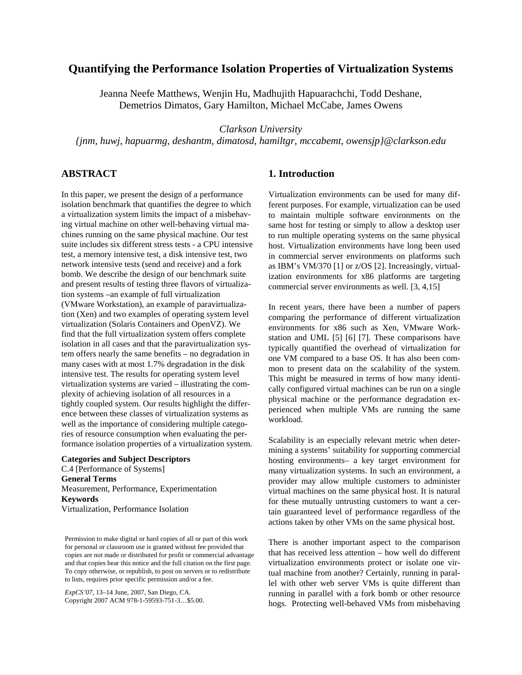# **Quantifying the Performance Isolation Properties of Virtualization Systems**

Jeanna Neefe Matthews, Wenjin Hu, Madhujith Hapuarachchi, Todd Deshane, Demetrios Dimatos, Gary Hamilton, Michael McCabe, James Owens

*Clarkson University* 

*{jnm, huwj, hapuarmg, deshantm, dimatosd, hamiltgr, mccabemt, owensjp}@clarkson.edu*

## **ABSTRACT**

In this paper, we present the design of a performance isolation benchmark that quantifies the degree to which a virtualization system limits the impact of a misbehaving virtual machine on other well-behaving virtual machines running on the same physical machine. Our test suite includes six different stress tests - a CPU intensive test, a memory intensive test, a disk intensive test, two network intensive tests (send and receive) and a fork bomb. We describe the design of our benchmark suite and present results of testing three flavors of virtualization systems –an example of full virtualization (VMware Workstation), an example of paravirtualization (Xen) and two examples of operating system level virtualization (Solaris Containers and OpenVZ). We find that the full virtualization system offers complete isolation in all cases and that the paravirtualization system offers nearly the same benefits – no degradation in many cases with at most 1.7% degradation in the disk intensive test. The results for operating system level virtualization systems are varied – illustrating the complexity of achieving isolation of all resources in a tightly coupled system. Our results highlight the difference between these classes of virtualization systems as well as the importance of considering multiple categories of resource consumption when evaluating the performance isolation properties of a virtualization system.

**Categories and Subject Descriptors**  C.4 [Performance of Systems] **General Terms**  Measurement, Performance, Experimentation **Keywords** Virtualization, Performance Isolation

Permission to make digital or hard copies of all or part of this work for personal or classroom use is granted without fee provided that copies are not made or distributed for profit or commercial advantage and that copies bear this notice and the full citation on the first page. To copy otherwise, or republish, to post on servers or to redistribute to lists, requires prior specific permission and/or a fee.

*ExpCS'07*, 13–14 June, 2007, San Diego, CA. Copyright 2007 ACM 978-1-59593-751-3…\$5.00.

#### **1. Introduction**

Virtualization environments can be used for many different purposes. For example, virtualization can be used to maintain multiple software environments on the same host for testing or simply to allow a desktop user to run multiple operating systems on the same physical host. Virtualization environments have long been used in commercial server environments on platforms such as IBM's VM/370 [1] or z/OS [2]. Increasingly, virtualization environments for x86 platforms are targeting commercial server environments as well. [3, 4,15]

In recent years, there have been a number of papers comparing the performance of different virtualization environments for x86 such as Xen, VMware Workstation and UML [5] [6] [7]. These comparisons have typically quantified the overhead of virtualization for one VM compared to a base OS. It has also been common to present data on the scalability of the system. This might be measured in terms of how many identically configured virtual machines can be run on a single physical machine or the performance degradation experienced when multiple VMs are running the same workload.

Scalability is an especially relevant metric when determining a systems' suitability for supporting commercial hosting environments– a key target environment for many virtualization systems. In such an environment, a provider may allow multiple customers to administer virtual machines on the same physical host. It is natural for these mutually untrusting customers to want a certain guaranteed level of performance regardless of the actions taken by other VMs on the same physical host.

There is another important aspect to the comparison that has received less attention – how well do different virtualization environments protect or isolate one virtual machine from another? Certainly, running in parallel with other web server VMs is quite different than running in parallel with a fork bomb or other resource hogs. Protecting well-behaved VMs from misbehaving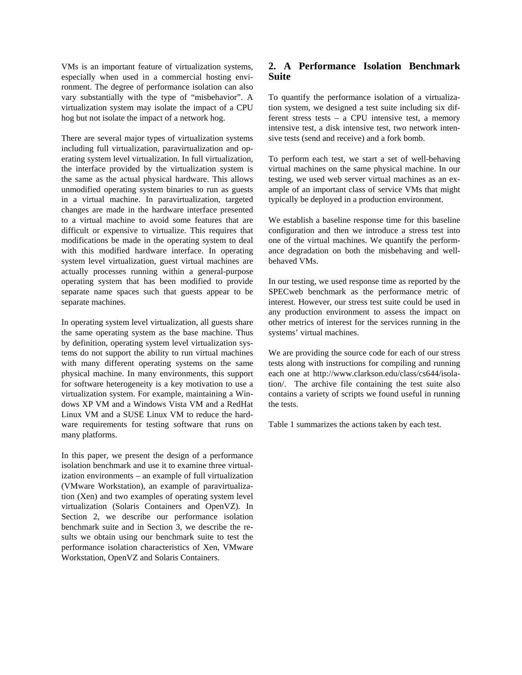VMs is an important feature of virtualization systems, especially when used in a commercial hosting environment. The degree of performance isolation can also vary substantially with the type of "misbehavior". A virtualization system may isolate the impact of a CPU hog but not isolate the impact of a network hog.

There are several major types of virtualization systems including full virtualization, paravirtualization and operating system level virtualization. In full virtualization, the interface provided by the virtualization system is the same as the actual physical hardware. This allows unmodified operating system binaries to run as guests in a virtual machine. In paravirtualization, targeted changes are made in the hardware interface presented to a virtual machine to avoid some features that are difficult or expensive to virtualize. This requires that modifications be made in the operating system to deal with this modified hardware interface. In operating system level virtualization, guest virtual machines are actually processes running within a general-purpose operating system that has been modified to provide separate name spaces such that guests appear to be separate machines.

In operating system level virtualization, all guests share the same operating system as the base machine. Thus by definition, operating system level virtualization systems do not support the ability to run virtual machines with many different operating systems on the same physical machine. In many environments, this support for software heterogeneity is a key motivation to use a virtualization system. For example, maintaining a Windows XP VM and a Windows Vista VM and a RedHat Linux VM and a SUSE Linux VM to reduce the hardware requirements for testing software that runs on many platforms.

In this paper, we present the design of a performance isolation benchmark and use it to examine three virtualization environments – an example of full virtualization (VMware Workstation), an example of paravirtualization (Xen) and two examples of operating system level virtualization (Solaris Containers and OpenVZ). In Section 2, we describe our performance isolation benchmark suite and in Section 3, we describe the results we obtain using our benchmark suite to test the performance isolation characteristics of Xen, VMware Workstation, OpenVZ and Solaris Containers.

## **2. A Performance Isolation Benchmark Suite**

To quantify the performance isolation of a virtualization system, we designed a test suite including six different stress tests – a CPU intensive test, a memory intensive test, a disk intensive test, two network intensive tests (send and receive) and a fork bomb.

To perform each test, we start a set of well-behaving virtual machines on the same physical machine. In our testing, we used web server virtual machines as an example of an important class of service VMs that might typically be deployed in a production environment.

We establish a baseline response time for this baseline configuration and then we introduce a stress test into one of the virtual machines. We quantify the performance degradation on both the misbehaving and wellbehaved VMs.

In our testing, we used response time as reported by the SPECweb benchmark as the performance metric of interest. However, our stress test suite could be used in any production environment to assess the impact on other metrics of interest for the services running in the systems' virtual machines.

We are providing the source code for each of our stress tests along with instructions for compiling and running each one at http://www.clarkson.edu/class/cs644/isolation/. The archive file containing the test suite also contains a variety of scripts we found useful in running the tests.

Table 1 summarizes the actions taken by each test.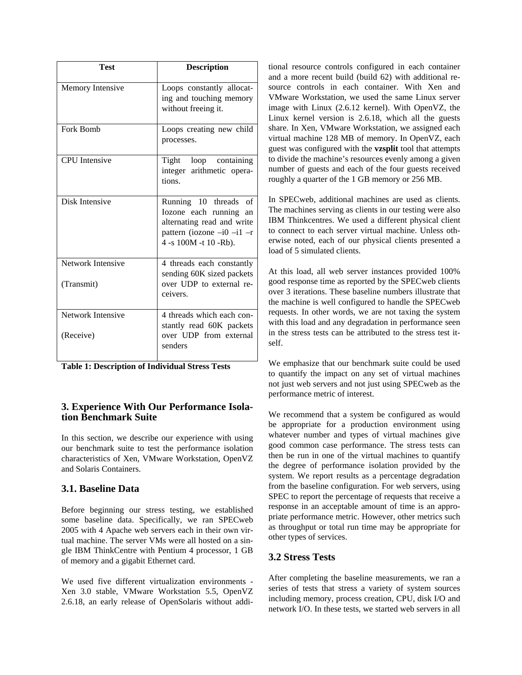| <b>Test</b>                     | <b>Description</b>                                                                                                                           |
|---------------------------------|----------------------------------------------------------------------------------------------------------------------------------------------|
| Memory Intensive                | Loops constantly allocat-<br>ing and touching memory<br>without freeing it.                                                                  |
| Fork Bomb                       | Loops creating new child<br>processes.                                                                                                       |
| <b>CPU</b> Intensive            | Tight loop containing<br>integer arithmetic opera-<br>tions.                                                                                 |
| Disk Intensive                  | Running 10 threads<br>of<br>Iozone each running<br>an<br>alternating read and write<br>pattern (iozone $-i0$ -i1 -r<br>4 -s 100M -t 10 -Rb). |
| Network Intensive<br>(Transmit) | 4 threads each constantly<br>sending 60K sized packets<br>over UDP to external re-<br>ceivers.                                               |
| Network Intensive<br>(Receive)  | 4 threads which each con-<br>stantly read 60K packets<br>over UDP from external<br>senders                                                   |

**Table 1: Description of Individual Stress Tests** 

#### **3. Experience With Our Performance Isolation Benchmark Suite**

In this section, we describe our experience with using our benchmark suite to test the performance isolation characteristics of Xen, VMware Workstation, OpenVZ and Solaris Containers.

## **3.1. Baseline Data**

Before beginning our stress testing, we established some baseline data. Specifically, we ran SPECweb 2005 with 4 Apache web servers each in their own virtual machine. The server VMs were all hosted on a single IBM ThinkCentre with Pentium 4 processor, 1 GB of memory and a gigabit Ethernet card.

We used five different virtualization environments - Xen 3.0 stable, VMware Workstation 5.5, OpenVZ 2.6.18, an early release of OpenSolaris without additional resource controls configured in each container and a more recent build (build 62) with additional resource controls in each container. With Xen and VMware Workstation, we used the same Linux server image with Linux (2.6.12 kernel). With OpenVZ, the Linux kernel version is 2.6.18, which all the guests share. In Xen, VMware Workstation, we assigned each virtual machine 128 MB of memory. In OpenVZ, each guest was configured with the **vzsplit** tool that attempts to divide the machine's resources evenly among a given number of guests and each of the four guests received roughly a quarter of the 1 GB memory or 256 MB.

In SPECweb, additional machines are used as clients. The machines serving as clients in our testing were also IBM Thinkcentres. We used a different physical client to connect to each server virtual machine. Unless otherwise noted, each of our physical clients presented a load of 5 simulated clients.

At this load, all web server instances provided 100% good response time as reported by the SPECweb clients over 3 iterations. These baseline numbers illustrate that the machine is well configured to handle the SPECweb requests. In other words, we are not taxing the system with this load and any degradation in performance seen in the stress tests can be attributed to the stress test itself.

We emphasize that our benchmark suite could be used to quantify the impact on any set of virtual machines not just web servers and not just using SPECweb as the performance metric of interest.

We recommend that a system be configured as would be appropriate for a production environment using whatever number and types of virtual machines give good common case performance. The stress tests can then be run in one of the virtual machines to quantify the degree of performance isolation provided by the system. We report results as a percentage degradation from the baseline configuration. For web servers, using SPEC to report the percentage of requests that receive a response in an acceptable amount of time is an appropriate performance metric. However, other metrics such as throughput or total run time may be appropriate for other types of services.

# **3.2 Stress Tests**

After completing the baseline measurements, we ran a series of tests that stress a variety of system sources including memory, process creation, CPU, disk I/O and network I/O. In these tests, we started web servers in all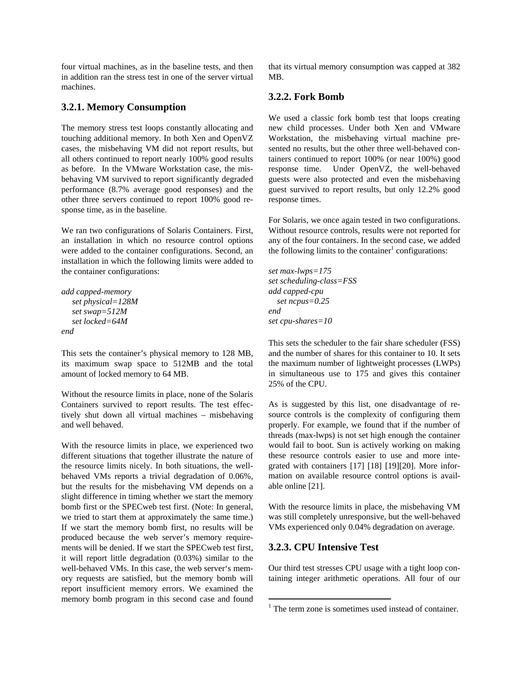four virtual machines, as in the baseline tests, and then in addition ran the stress test in one of the server virtual machines.

#### **3.2.1. Memory Consumption**

The memory stress test loops constantly allocating and touching additional memory. In both Xen and OpenVZ cases, the misbehaving VM did not report results, but all others continued to report nearly 100% good results as before. In the VMware Workstation case, the misbehaving VM survived to report significantly degraded performance (8.7% average good responses) and the other three servers continued to report 100% good response time, as in the baseline.

We ran two configurations of Solaris Containers. First, an installation in which no resource control options were added to the container configurations. Second, an installation in which the following limits were added to the container configurations:

```
add capped-memory 
   set physical=128M 
   set swap=512M 
   set locked=64M 
end
```
This sets the container's physical memory to 128 MB, its maximum swap space to 512MB and the total amount of locked memory to 64 MB.

Without the resource limits in place, none of the Solaris Containers survived to report results. The test effectively shut down all virtual machines – misbehaving and well behaved.

With the resource limits in place, we experienced two different situations that together illustrate the nature of the resource limits nicely. In both situations, the wellbehaved VMs reports a trivial degradation of 0.06%, but the results for the misbehaving VM depends on a slight difference in timing whether we start the memory bomb first or the SPECweb test first. (Note: In general, we tried to start them at approximately the same time.) If we start the memory bomb first, no results will be produced because the web server's memory requirements will be denied. If we start the SPECweb test first, it will report little degradation (0.03%) similar to the well-behaved VMs. In this case, the web server's memory requests are satisfied, but the memory bomb will report insufficient memory errors. We examined the memory bomb program in this second case and found

that its virtual memory consumption was capped at 382 MB.

#### **3.2.2. Fork Bomb**

We used a classic fork bomb test that loops creating new child processes. Under both Xen and VMware Workstation, the misbehaving virtual machine presented no results, but the other three well-behaved containers continued to report 100% (or near 100%) good response time. Under OpenVZ, the well-behaved guests were also protected and even the misbehaving guest survived to report results, but only 12.2% good response times.

For Solaris, we once again tested in two configurations. Without resource controls, results were not reported for any of the four containers. In the second case, we added the following limits to the container<sup>1</sup> configurations:

*set max-lwps=175 set scheduling-class=FSS add capped-cpu set ncpus=0.25 end set cpu-shares=10* 

This sets the scheduler to the fair share scheduler (FSS) and the number of shares for this container to 10. It sets the maximum number of lightweight processes (LWPs) in simultaneous use to 175 and gives this container 25% of the CPU.

As is suggested by this list, one disadvantage of resource controls is the complexity of configuring them properly. For example, we found that if the number of threads (max-lwps) is not set high enough the container would fail to boot. Sun is actively working on making these resource controls easier to use and more integrated with containers [17] [18] [19][20]. More information on available resource control options is available online [21].

With the resource limits in place, the misbehaving VM was still completely unresponsive, but the well-behaved VMs experienced only 0.04% degradation on average.

## **3.2.3. CPU Intensive Test**

 $\overline{a}$ 

Our third test stresses CPU usage with a tight loop containing integer arithmetic operations. All four of our

<sup>&</sup>lt;sup>1</sup> The term zone is sometimes used instead of container.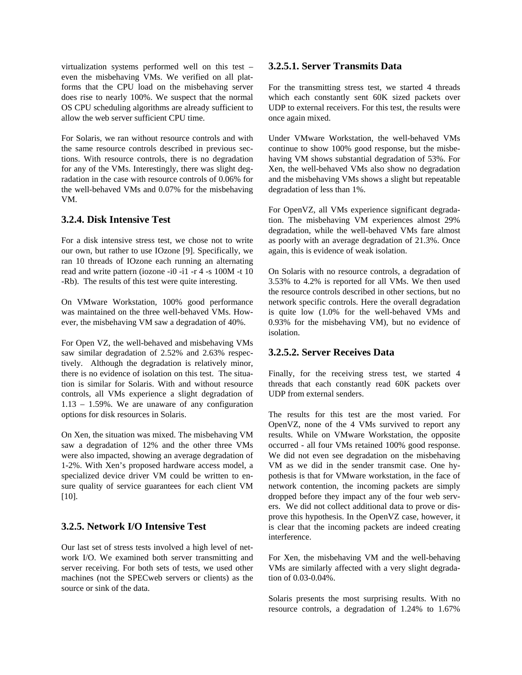virtualization systems performed well on this test – even the misbehaving VMs. We verified on all platforms that the CPU load on the misbehaving server does rise to nearly 100%. We suspect that the normal OS CPU scheduling algorithms are already sufficient to allow the web server sufficient CPU time.

For Solaris, we ran without resource controls and with the same resource controls described in previous sections. With resource controls, there is no degradation for any of the VMs. Interestingly, there was slight degradation in the case with resource controls of 0.06% for the well-behaved VMs and 0.07% for the misbehaving VM.

## **3.2.4. Disk Intensive Test**

For a disk intensive stress test, we chose not to write our own, but rather to use IOzone [9]. Specifically, we ran 10 threads of IOzone each running an alternating read and write pattern (iozone -i0 -i1 -r 4 -s 100M -t 10 -Rb). The results of this test were quite interesting.

On VMware Workstation, 100% good performance was maintained on the three well-behaved VMs. However, the misbehaving VM saw a degradation of 40%.

For Open VZ, the well-behaved and misbehaving VMs saw similar degradation of 2.52% and 2.63% respectively. Although the degradation is relatively minor, there is no evidence of isolation on this test. The situation is similar for Solaris. With and without resource controls, all VMs experience a slight degradation of 1.13 – 1.59%. We are unaware of any configuration options for disk resources in Solaris.

On Xen, the situation was mixed. The misbehaving VM saw a degradation of 12% and the other three VMs were also impacted, showing an average degradation of 1-2%. With Xen's proposed hardware access model, a specialized device driver VM could be written to ensure quality of service guarantees for each client VM [10].

## **3.2.5. Network I/O Intensive Test**

Our last set of stress tests involved a high level of network I/O. We examined both server transmitting and server receiving. For both sets of tests, we used other machines (not the SPECweb servers or clients) as the source or sink of the data.

#### **3.2.5.1. Server Transmits Data**

For the transmitting stress test, we started 4 threads which each constantly sent 60K sized packets over UDP to external receivers. For this test, the results were once again mixed.

Under VMware Workstation, the well-behaved VMs continue to show 100% good response, but the misbehaving VM shows substantial degradation of 53%. For Xen, the well-behaved VMs also show no degradation and the misbehaving VMs shows a slight but repeatable degradation of less than 1%.

For OpenVZ, all VMs experience significant degradation. The misbehaving VM experiences almost 29% degradation, while the well-behaved VMs fare almost as poorly with an average degradation of 21.3%. Once again, this is evidence of weak isolation.

On Solaris with no resource controls, a degradation of 3.53% to 4.2% is reported for all VMs. We then used the resource controls described in other sections, but no network specific controls. Here the overall degradation is quite low (1.0% for the well-behaved VMs and 0.93% for the misbehaving VM), but no evidence of isolation.

#### **3.2.5.2. Server Receives Data**

Finally, for the receiving stress test, we started 4 threads that each constantly read 60K packets over UDP from external senders.

The results for this test are the most varied. For OpenVZ, none of the 4 VMs survived to report any results. While on VMware Workstation, the opposite occurred - all four VMs retained 100% good response. We did not even see degradation on the misbehaving VM as we did in the sender transmit case. One hypothesis is that for VMware workstation, in the face of network contention, the incoming packets are simply dropped before they impact any of the four web servers. We did not collect additional data to prove or disprove this hypothesis. In the OpenVZ case, however, it is clear that the incoming packets are indeed creating interference.

For Xen, the misbehaving VM and the well-behaving VMs are similarly affected with a very slight degradation of 0.03-0.04%.

Solaris presents the most surprising results. With no resource controls, a degradation of 1.24% to 1.67%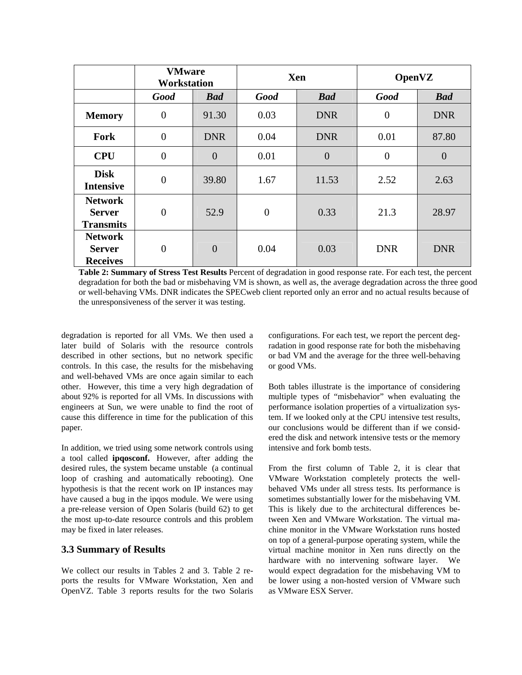|                                                     | <b>VMware</b><br><b>Workstation</b> |                | <b>Xen</b>       |                | <b>OpenVZ</b>  |                |
|-----------------------------------------------------|-------------------------------------|----------------|------------------|----------------|----------------|----------------|
|                                                     | <b>Good</b>                         | <b>Bad</b>     | <b>Good</b>      | <b>Bad</b>     | <b>Good</b>    | <b>Bad</b>     |
| <b>Memory</b>                                       | $\overline{0}$                      | 91.30          | 0.03             | <b>DNR</b>     | $\theta$       | <b>DNR</b>     |
| Fork                                                | $\overline{0}$                      | <b>DNR</b>     | 0.04             | <b>DNR</b>     | 0.01           | 87.80          |
| <b>CPU</b>                                          | $\overline{0}$                      | $\overline{0}$ | 0.01             | $\overline{0}$ | $\overline{0}$ | $\overline{0}$ |
| <b>Disk</b><br><b>Intensive</b>                     | $\boldsymbol{0}$                    | 39.80          | 1.67             | 11.53          | 2.52           | 2.63           |
| <b>Network</b><br><b>Server</b><br><b>Transmits</b> | $\overline{0}$                      | 52.9           | $\boldsymbol{0}$ | 0.33           | 21.3           | 28.97          |
| <b>Network</b><br><b>Server</b><br><b>Receives</b>  | $\overline{0}$                      | $\overline{0}$ | 0.04             | 0.03           | <b>DNR</b>     | <b>DNR</b>     |

**Table 2: Summary of Stress Test Results** Percent of degradation in good response rate. For each test, the percent degradation for both the bad or misbehaving VM is shown, as well as, the average degradation across the three good or well-behaving VMs. DNR indicates the SPECweb client reported only an error and no actual results because of the unresponsiveness of the server it was testing.

degradation is reported for all VMs. We then used a later build of Solaris with the resource controls described in other sections, but no network specific controls. In this case, the results for the misbehaving and well-behaved VMs are once again similar to each other. However, this time a very high degradation of about 92% is reported for all VMs. In discussions with engineers at Sun, we were unable to find the root of cause this difference in time for the publication of this paper.

In addition, we tried using some network controls using a tool called **ipqosconf.** However, after adding the desired rules, the system became unstable (a continual loop of crashing and automatically rebooting). One hypothesis is that the recent work on IP instances may have caused a bug in the ipqos module. We were using a pre-release version of Open Solaris (build 62) to get the most up-to-date resource controls and this problem may be fixed in later releases.

## **3.3 Summary of Results**

We collect our results in Tables 2 and 3. Table 2 reports the results for VMware Workstation, Xen and OpenVZ. Table 3 reports results for the two Solaris configurations. For each test, we report the percent degradation in good response rate for both the misbehaving or bad VM and the average for the three well-behaving or good VMs.

Both tables illustrate is the importance of considering multiple types of "misbehavior" when evaluating the performance isolation properties of a virtualization system. If we looked only at the CPU intensive test results, our conclusions would be different than if we considered the disk and network intensive tests or the memory intensive and fork bomb tests.

From the first column of Table 2, it is clear that VMware Workstation completely protects the wellbehaved VMs under all stress tests. Its performance is sometimes substantially lower for the misbehaving VM. This is likely due to the architectural differences between Xen and VMware Workstation. The virtual machine monitor in the VMware Workstation runs hosted on top of a general-purpose operating system, while the virtual machine monitor in Xen runs directly on the hardware with no intervening software layer. We would expect degradation for the misbehaving VM to be lower using a non-hosted version of VMware such as VMware ESX Server.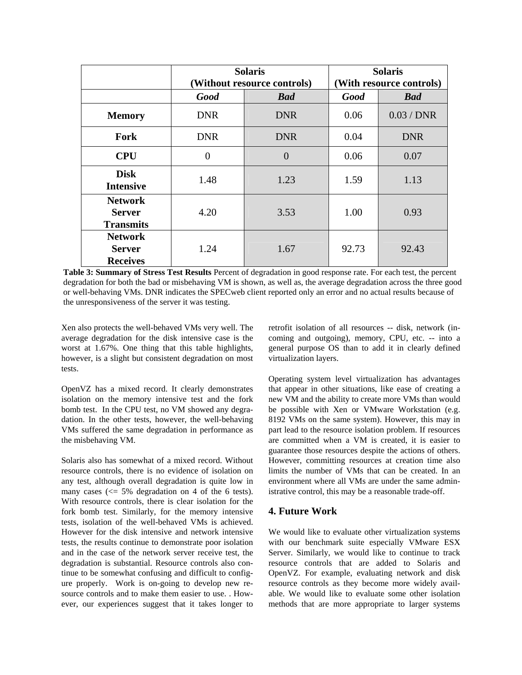|                                                     |             | <b>Solaris</b>              | <b>Solaris</b>           |              |  |
|-----------------------------------------------------|-------------|-----------------------------|--------------------------|--------------|--|
|                                                     |             | (Without resource controls) | (With resource controls) |              |  |
|                                                     | <b>Good</b> | <b>Bad</b>                  | <b>Good</b>              | <b>Bad</b>   |  |
| <b>Memory</b>                                       | <b>DNR</b>  | <b>DNR</b>                  | 0.06                     | $0.03$ / DNR |  |
| Fork                                                | <b>DNR</b>  | <b>DNR</b>                  | 0.04                     | <b>DNR</b>   |  |
| <b>CPU</b>                                          | $\theta$    | $\overline{0}$              | 0.06                     | 0.07         |  |
| <b>Disk</b><br><b>Intensive</b>                     | 1.48        | 1.23                        | 1.59                     | 1.13         |  |
| <b>Network</b><br><b>Server</b><br><b>Transmits</b> | 4.20        | 3.53                        | 1.00                     | 0.93         |  |
| <b>Network</b><br><b>Server</b><br><b>Receives</b>  | 1.24        | 1.67                        | 92.73                    | 92.43        |  |

**Table 3: Summary of Stress Test Results** Percent of degradation in good response rate. For each test, the percent degradation for both the bad or misbehaving VM is shown, as well as, the average degradation across the three good or well-behaving VMs. DNR indicates the SPECweb client reported only an error and no actual results because of the unresponsiveness of the server it was testing.

Xen also protects the well-behaved VMs very well. The average degradation for the disk intensive case is the worst at 1.67%. One thing that this table highlights, however, is a slight but consistent degradation on most tests.

OpenVZ has a mixed record. It clearly demonstrates isolation on the memory intensive test and the fork bomb test. In the CPU test, no VM showed any degradation. In the other tests, however, the well-behaving VMs suffered the same degradation in performance as the misbehaving VM.

Solaris also has somewhat of a mixed record. Without resource controls, there is no evidence of isolation on any test, although overall degradation is quite low in many cases  $\ll 5\%$  degradation on 4 of the 6 tests). With resource controls, there is clear isolation for the fork bomb test. Similarly, for the memory intensive tests, isolation of the well-behaved VMs is achieved. However for the disk intensive and network intensive tests, the results continue to demonstrate poor isolation and in the case of the network server receive test, the degradation is substantial. Resource controls also continue to be somewhat confusing and difficult to configure properly. Work is on-going to develop new resource controls and to make them easier to use. . However, our experiences suggest that it takes longer to retrofit isolation of all resources -- disk, network (incoming and outgoing), memory, CPU, etc. -- into a general purpose OS than to add it in clearly defined virtualization layers.

Operating system level virtualization has advantages that appear in other situations, like ease of creating a new VM and the ability to create more VMs than would be possible with Xen or VMware Workstation (e.g. 8192 VMs on the same system). However, this may in part lead to the resource isolation problem. If resources are committed when a VM is created, it is easier to guarantee those resources despite the actions of others. However, committing resources at creation time also limits the number of VMs that can be created. In an environment where all VMs are under the same administrative control, this may be a reasonable trade-off.

#### **4. Future Work**

We would like to evaluate other virtualization systems with our benchmark suite especially VMware ESX Server. Similarly, we would like to continue to track resource controls that are added to Solaris and OpenVZ. For example, evaluating network and disk resource controls as they become more widely available. We would like to evaluate some other isolation methods that are more appropriate to larger systems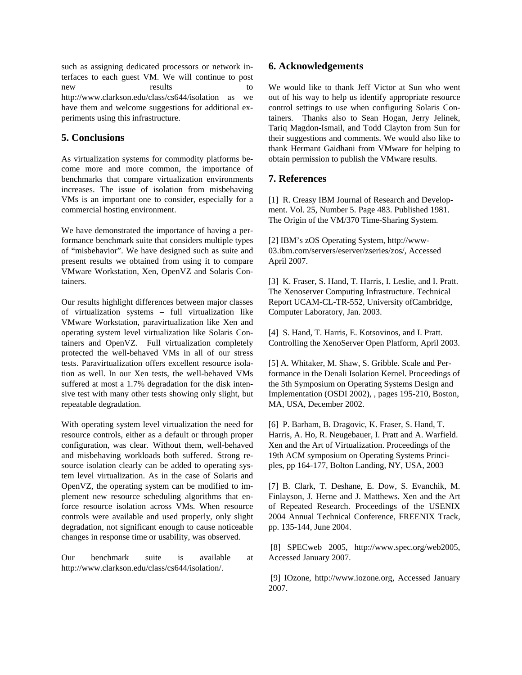such as assigning dedicated processors or network interfaces to each guest VM. We will continue to post new results to http://www.clarkson.edu/class/cs644/isolation as we have them and welcome suggestions for additional experiments using this infrastructure.

## **5. Conclusions**

As virtualization systems for commodity platforms become more and more common, the importance of benchmarks that compare virtualization environments increases. The issue of isolation from misbehaving VMs is an important one to consider, especially for a commercial hosting environment.

We have demonstrated the importance of having a performance benchmark suite that considers multiple types of "misbehavior". We have designed such as suite and present results we obtained from using it to compare VMware Workstation, Xen, OpenVZ and Solaris Containers.

Our results highlight differences between major classes of virtualization systems – full virtualization like VMware Workstation, paravirtualization like Xen and operating system level virtualization like Solaris Containers and OpenVZ. Full virtualization completely protected the well-behaved VMs in all of our stress tests. Paravirtualization offers excellent resource isolation as well. In our Xen tests, the well-behaved VMs suffered at most a 1.7% degradation for the disk intensive test with many other tests showing only slight, but repeatable degradation.

With operating system level virtualization the need for resource controls, either as a default or through proper configuration, was clear. Without them, well-behaved and misbehaving workloads both suffered. Strong resource isolation clearly can be added to operating system level virtualization. As in the case of Solaris and OpenVZ, the operating system can be modified to implement new resource scheduling algorithms that enforce resource isolation across VMs. When resource controls were available and used properly, only slight degradation, not significant enough to cause noticeable changes in response time or usability, was observed.

Our benchmark suite is available at http://www.clarkson.edu/class/cs644/isolation/.

## **6. Acknowledgements**

We would like to thank Jeff Victor at Sun who went out of his way to help us identify appropriate resource control settings to use when configuring Solaris Containers. Thanks also to Sean Hogan, Jerry Jelinek, Tariq Magdon-Ismail, and Todd Clayton from Sun for their suggestions and comments. We would also like to thank Hermant Gaidhani from VMware for helping to obtain permission to publish the VMware results.

# **7. References**

[1] R. Creasy IBM Journal of Research and Development. Vol. 25, Number 5. Page 483. Published 1981. The Origin of the VM/370 Time-Sharing System.

[2] IBM's zOS Operating System, http://www-03.ibm.com/servers/eserver/zseries/zos/, Accessed April 2007.

[3] K. Fraser, S. Hand, T. Harris, I. Leslie, and I. Pratt. The Xenoserver Computing Infrastructure. Technical Report UCAM-CL-TR-552, University ofCambridge, Computer Laboratory, Jan. 2003.

[4] S. Hand, T. Harris, E. Kotsovinos, and I. Pratt. Controlling the XenoServer Open Platform, April 2003.

[5] A. Whitaker, M. Shaw, S. Gribble. Scale and Performance in the Denali Isolation Kernel. Proceedings of the 5th Symposium on Operating Systems Design and Implementation (OSDI 2002), , pages 195-210, Boston, MA, USA, December 2002.

[6] P. Barham, B. Dragovic, K. Fraser, S. Hand, T. Harris, A. Ho, R. Neugebauer, I. Pratt and A. Warfield. Xen and the Art of Virtualization. Proceedings of the 19th ACM symposium on Operating Systems Principles, pp 164-177, Bolton Landing, NY, USA, 2003

[7] B. Clark, T. Deshane, E. Dow, S. Evanchik, M. Finlayson, J. Herne and J. Matthews. Xen and the Art of Repeated Research. Proceedings of the USENIX 2004 Annual Technical Conference, FREENIX Track, pp. 135-144, June 2004.

 [8] SPECweb 2005, http://www.spec.org/web2005, Accessed January 2007.

 [9] IOzone, http://www.iozone.org, Accessed January 2007.